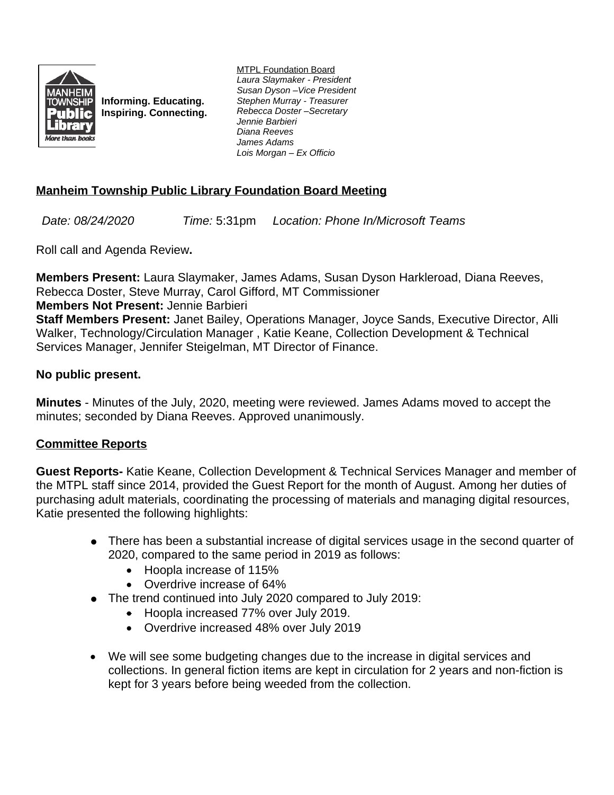

**Informing. Educating. Inspiring. Connecting.** MTPL Foundation Board *Laura Slaymaker - President Susan Dyson –Vice President Stephen Murray - Treasurer Rebecca Doster –Secretary Jennie Barbieri Diana Reeves James Adams Lois Morgan – Ex Officio*

# **Manheim Township Public Library Foundation Board Meeting**

*Date: 08/24/2020 Time:* 5:31pm *Location: Phone In/Microsoft Teams*

Roll call and Agenda Review**.**

**Members Present:** Laura Slaymaker, James Adams, Susan Dyson Harkleroad, Diana Reeves, Rebecca Doster, Steve Murray, Carol Gifford, MT Commissioner **Members Not Present:** Jennie Barbieri

**Staff Members Present:** Janet Bailey, Operations Manager, Joyce Sands, Executive Director, Alli Walker, Technology/Circulation Manager , Katie Keane, Collection Development & Technical Services Manager, Jennifer Steigelman, MT Director of Finance.

### **No public present.**

**Minutes** - Minutes of the July, 2020, meeting were reviewed. James Adams moved to accept the minutes; seconded by Diana Reeves. Approved unanimously.

## **Committee Reports**

**Guest Reports-** Katie Keane, Collection Development & Technical Services Manager and member of the MTPL staff since 2014, provided the Guest Report for the month of August. Among her duties of purchasing adult materials, coordinating the processing of materials and managing digital resources, Katie presented the following highlights:

- There has been a substantial increase of digital services usage in the second quarter of 2020, compared to the same period in 2019 as follows:
	- Hoopla increase of 115%
	- Overdrive increase of 64%
- The trend continued into July 2020 compared to July 2019:
	- Hoopla increased 77% over July 2019.
	- Overdrive increased 48% over July 2019
- We will see some budgeting changes due to the increase in digital services and collections. In general fiction items are kept in circulation for 2 years and non-fiction is kept for 3 years before being weeded from the collection.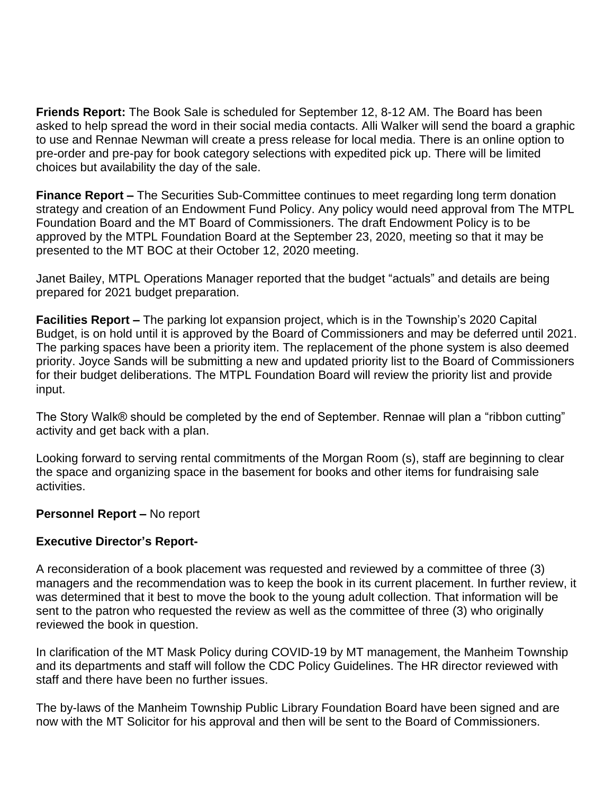**Friends Report:** The Book Sale is scheduled for September 12, 8-12 AM. The Board has been asked to help spread the word in their social media contacts. Alli Walker will send the board a graphic to use and Rennae Newman will create a press release for local media. There is an online option to pre-order and pre-pay for book category selections with expedited pick up. There will be limited choices but availability the day of the sale.

**Finance Report –** The Securities Sub-Committee continues to meet regarding long term donation strategy and creation of an Endowment Fund Policy. Any policy would need approval from The MTPL Foundation Board and the MT Board of Commissioners. The draft Endowment Policy is to be approved by the MTPL Foundation Board at the September 23, 2020, meeting so that it may be presented to the MT BOC at their October 12, 2020 meeting.

Janet Bailey, MTPL Operations Manager reported that the budget "actuals" and details are being prepared for 2021 budget preparation.

**Facilities Report –** The parking lot expansion project, which is in the Township's 2020 Capital Budget, is on hold until it is approved by the Board of Commissioners and may be deferred until 2021. The parking spaces have been a priority item. The replacement of the phone system is also deemed priority. Joyce Sands will be submitting a new and updated priority list to the Board of Commissioners for their budget deliberations. The MTPL Foundation Board will review the priority list and provide input.

The Story Walk® should be completed by the end of September. Rennae will plan a "ribbon cutting" activity and get back with a plan.

Looking forward to serving rental commitments of the Morgan Room (s), staff are beginning to clear the space and organizing space in the basement for books and other items for fundraising sale activities.

### **Personnel Report – No report**

### **Executive Director's Report-**

A reconsideration of a book placement was requested and reviewed by a committee of three (3) managers and the recommendation was to keep the book in its current placement. In further review, it was determined that it best to move the book to the young adult collection. That information will be sent to the patron who requested the review as well as the committee of three (3) who originally reviewed the book in question.

In clarification of the MT Mask Policy during COVID-19 by MT management, the Manheim Township and its departments and staff will follow the CDC Policy Guidelines. The HR director reviewed with staff and there have been no further issues.

The by-laws of the Manheim Township Public Library Foundation Board have been signed and are now with the MT Solicitor for his approval and then will be sent to the Board of Commissioners.